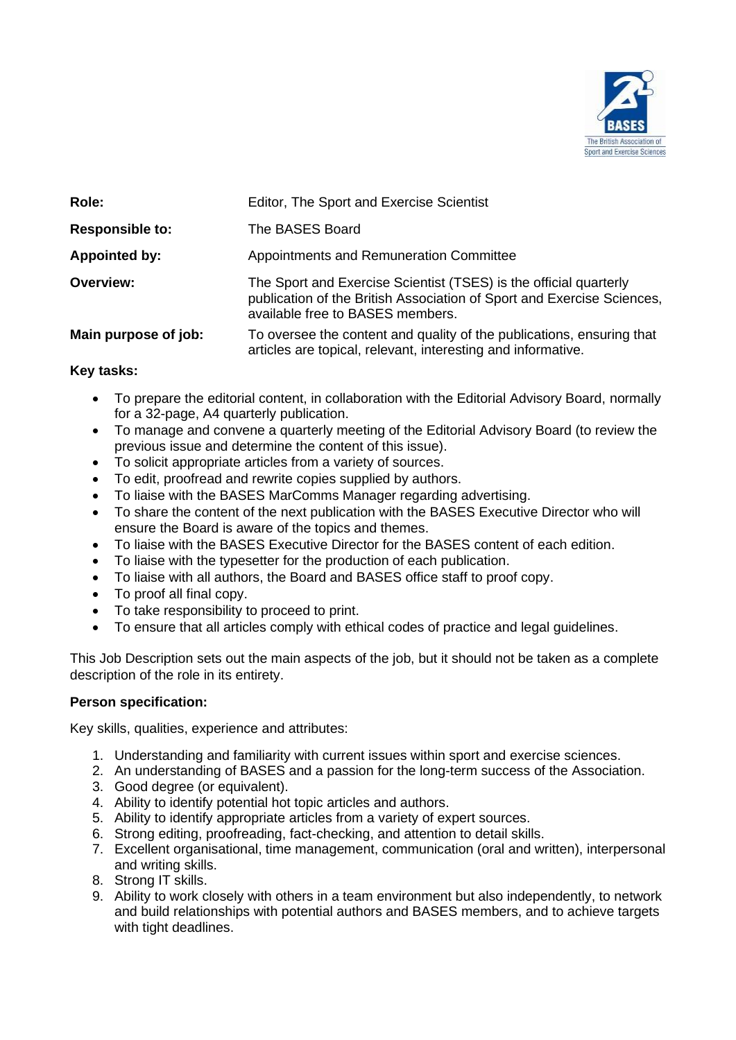

| Role:                  | Editor, The Sport and Exercise Scientist                                                                                                                                        |
|------------------------|---------------------------------------------------------------------------------------------------------------------------------------------------------------------------------|
| <b>Responsible to:</b> | The BASES Board                                                                                                                                                                 |
| <b>Appointed by:</b>   | Appointments and Remuneration Committee                                                                                                                                         |
| Overview:              | The Sport and Exercise Scientist (TSES) is the official quarterly<br>publication of the British Association of Sport and Exercise Sciences,<br>available free to BASES members. |
| Main purpose of job:   | To oversee the content and quality of the publications, ensuring that<br>articles are topical, relevant, interesting and informative.                                           |

# **Key tasks:**

- To prepare the editorial content, in collaboration with the Editorial Advisory Board, normally for a 32-page, A4 quarterly publication.
- To manage and convene a quarterly meeting of the Editorial Advisory Board (to review the previous issue and determine the content of this issue).
- To solicit appropriate articles from a variety of sources.
- To edit, proofread and rewrite copies supplied by authors.
- To liaise with the BASES MarComms Manager regarding advertising.
- To share the content of the next publication with the BASES Executive Director who will ensure the Board is aware of the topics and themes.
- To liaise with the BASES Executive Director for the BASES content of each edition.
- To liaise with the typesetter for the production of each publication.
- To liaise with all authors, the Board and BASES office staff to proof copy.
- To proof all final copy.
- To take responsibility to proceed to print.
- To ensure that all articles comply with ethical codes of practice and legal guidelines.

This Job Description sets out the main aspects of the job, but it should not be taken as a complete description of the role in its entirety.

## **Person specification:**

Key skills, qualities, experience and attributes:

- 1. Understanding and familiarity with current issues within sport and exercise sciences.
- 2. An understanding of BASES and a passion for the long-term success of the Association.
- 3. Good degree (or equivalent).
- 4. Ability to identify potential hot topic articles and authors.
- 5. Ability to identify appropriate articles from a variety of expert sources.
- 6. Strong editing, proofreading, fact-checking, and attention to detail skills.
- 7. Excellent organisational, time management, communication (oral and written), interpersonal and writing skills.
- 8. Strong IT skills.
- 9. Ability to work closely with others in a team environment but also independently, to network and build relationships with potential authors and BASES members, and to achieve targets with tight deadlines.